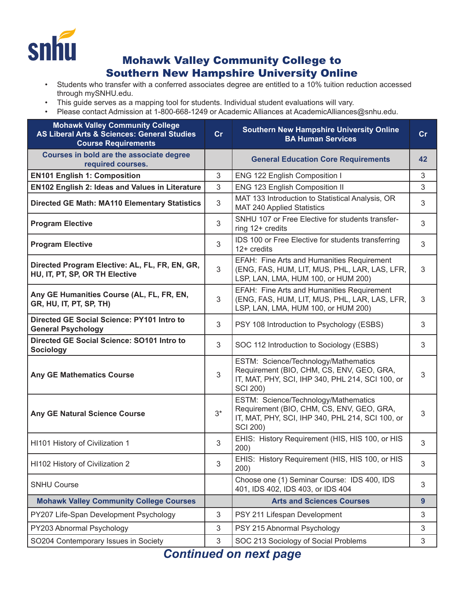

## Mohawk Valley Community College to Southern New Hampshire University Online

- Students who transfer with a conferred associates degree are entitled to a 10% tuition reduction accessed through mySNHU.edu.
- This guide serves as a mapping tool for students. Individual student evaluations will vary.
- Please contact Admission at 1-800-668-1249 or Academic Alliances at AcademicAlliances@snhu.edu.

| <b>Mohawk Valley Community College</b><br><b>AS Liberal Arts &amp; Sciences: General Studies</b><br><b>Course Requirements</b> | cr   | <b>Southern New Hampshire University Online</b><br><b>BA Human Services</b>                                                                              | cr |
|--------------------------------------------------------------------------------------------------------------------------------|------|----------------------------------------------------------------------------------------------------------------------------------------------------------|----|
| Courses in bold are the associate degree<br>required courses.                                                                  |      | <b>General Education Core Requirements</b>                                                                                                               | 42 |
| <b>EN101 English 1: Composition</b>                                                                                            | 3    | ENG 122 English Composition I                                                                                                                            | 3  |
| <b>EN102 English 2: Ideas and Values in Literature</b>                                                                         | 3    | ENG 123 English Composition II                                                                                                                           | 3  |
| <b>Directed GE Math: MA110 Elementary Statistics</b>                                                                           | 3    | MAT 133 Introduction to Statistical Analysis, OR<br>MAT 240 Applied Statistics                                                                           | 3  |
| <b>Program Elective</b>                                                                                                        | 3    | SNHU 107 or Free Elective for students transfer-<br>ring 12+ credits                                                                                     | 3  |
| <b>Program Elective</b>                                                                                                        | 3    | IDS 100 or Free Elective for students transferring<br>$12+$ credits                                                                                      | 3  |
| Directed Program Elective: AL, FL, FR, EN, GR,<br>HU, IT, PT, SP, OR TH Elective                                               | 3    | EFAH: Fine Arts and Humanities Requirement<br>(ENG, FAS, HUM, LIT, MUS, PHL, LAR, LAS, LFR,<br>LSP, LAN, LMA, HUM 100, or HUM 200)                       | 3  |
| Any GE Humanities Course (AL, FL, FR, EN,<br>GR, HU, IT, PT, SP, TH)                                                           | 3    | EFAH: Fine Arts and Humanities Requirement<br>(ENG, FAS, HUM, LIT, MUS, PHL, LAR, LAS, LFR,<br>LSP, LAN, LMA, HUM 100, or HUM 200)                       | 3  |
| Directed GE Social Science: PY101 Intro to<br><b>General Psychology</b>                                                        | 3    | PSY 108 Introduction to Psychology (ESBS)                                                                                                                | 3  |
| Directed GE Social Science: SO101 Intro to<br><b>Sociology</b>                                                                 | 3    | SOC 112 Introduction to Sociology (ESBS)                                                                                                                 | 3  |
| <b>Any GE Mathematics Course</b>                                                                                               | 3    | ESTM: Science/Technology/Mathematics<br>Requirement (BIO, CHM, CS, ENV, GEO, GRA,<br>IT, MAT, PHY, SCI, IHP 340, PHL 214, SCI 100, or<br><b>SCI 200)</b> | 3  |
| <b>Any GE Natural Science Course</b>                                                                                           | $3*$ | ESTM: Science/Technology/Mathematics<br>Requirement (BIO, CHM, CS, ENV, GEO, GRA,<br>IT, MAT, PHY, SCI, IHP 340, PHL 214, SCI 100, or<br><b>SCI 200)</b> | 3  |
| HI101 History of Civilization 1                                                                                                | 3    | EHIS: History Requirement (HIS, HIS 100, or HIS<br>200)                                                                                                  | 3  |
| HI102 History of Civilization 2                                                                                                | 3    | EHIS: History Requirement (HIS, HIS 100, or HIS<br>200)                                                                                                  | 3  |
| <b>SNHU Course</b>                                                                                                             |      | Choose one (1) Seminar Course: IDS 400, IDS<br>401, IDS 402, IDS 403, or IDS 404                                                                         | 3  |
| <b>Mohawk Valley Community College Courses</b>                                                                                 |      | <b>Arts and Sciences Courses</b>                                                                                                                         | 9  |
| PY207 Life-Span Development Psychology                                                                                         | 3    | PSY 211 Lifespan Development                                                                                                                             | 3  |
| PY203 Abnormal Psychology                                                                                                      | 3    | PSY 215 Abnormal Psychology                                                                                                                              | 3  |
| SO204 Contemporary Issues in Society                                                                                           | 3    | SOC 213 Sociology of Social Problems                                                                                                                     | 3  |
|                                                                                                                                |      |                                                                                                                                                          |    |

*Continued on next page*